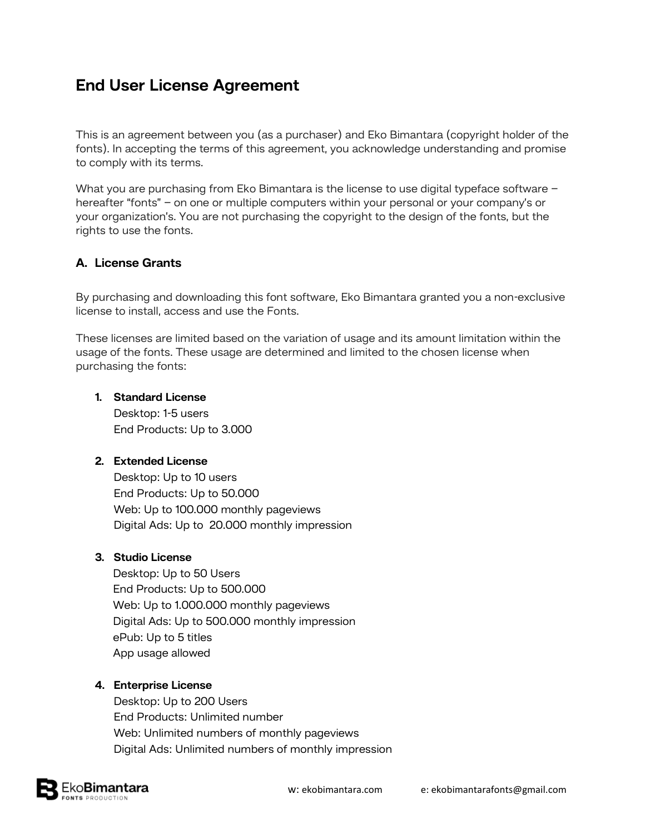# **End User License Agreement**

This is an agreement between you (as a purchaser) and Eko Bimantara (copyright holder of the fonts). In accepting the terms of this agreement, you acknowledge understanding and promise to comply with its terms.

What you are purchasing from Eko Bimantara is the license to use digital typeface software hereafter "fonts" – on one or multiple computers within your personal or your company's or your organization's. You are not purchasing the copyright to the design of the fonts, but the rights to use the fonts.

# **A. License Grants**

By purchasing and downloading this font software, Eko Bimantara granted you a non-exclusive license to install, access and use the Fonts.

These licenses are limited based on the variation of usage and its amount limitation within the usage of the fonts. These usage are determined and limited to the chosen license when purchasing the fonts:

#### **1. Standard License** Desktop: 1-5 users

End Products: Up to 3.000

# **2. Extended License**

Desktop: Up to 10 users End Products: Up to 50.000 Web: Up to 100.000 monthly pageviews Digital Ads: Up to 20.000 monthly impression

# **3. Studio License**

Desktop: Up to 50 Users End Products: Up to 500.000 Web: Up to 1.000.000 monthly pageviews Digital Ads: Up to 500.000 monthly impression ePub: Up to 5 titles App usage allowed

## **4. Enterprise License**

Desktop: Up to 200 Users End Products: Unlimited number Web: Unlimited numbers of monthly pageviews Digital Ads: Unlimited numbers of monthly impression

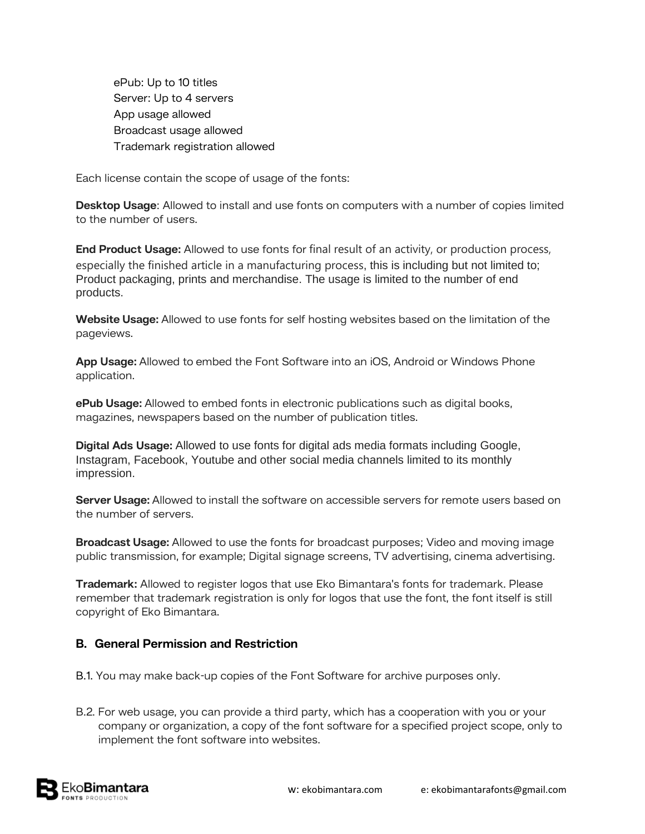ePub: Up to 10 titles Server: Up to 4 servers App usage allowed Broadcast usage allowed Trademark registration allowed

Each license contain the scope of usage of the fonts:

**Desktop Usage**: Allowed to install and use fonts on computers with a number of copies limited to the number of users.

**End Product Usage:** Allowed to use fonts for final result of an activity, or production process, especially the finished article in a manufacturing process, this is including but not limited to; Product packaging, prints and merchandise. The usage is limited to the number of end products.

**Website Usage:** Allowed to use fonts for self hosting websites based on the limitation of the pageviews.

**App Usage:** Allowed to embed the Font Software into an iOS, Android or Windows Phone application.

**ePub Usage:** Allowed to embed fonts in electronic publications such as digital books, magazines, newspapers based on the number of publication titles.

**Digital Ads Usage:** Allowed to use fonts for digital ads media formats including Google, Instagram, Facebook, Youtube and other social media channels limited to its monthly impression.

**Server Usage:** Allowed to install the software on accessible servers for remote users based on the number of servers.

**Broadcast Usage:** Allowed to use the fonts for broadcast purposes; Video and moving image public transmission, for example; Digital signage screens, TV advertising, cinema advertising.

**Trademark:** Allowed to register logos that use Eko Bimantara's fonts for trademark. Please remember that trademark registration is only for logos that use the font, the font itself is still copyright of Eko Bimantara.

## **B. General Permission and Restriction**

- B.1. You may make back-up copies of the Font Software for archive purposes only.
- B.2. For web usage, you can provide a third party, which has a cooperation with you or your company or organization, a copy of the font software for a specified project scope, only to implement the font software into websites.

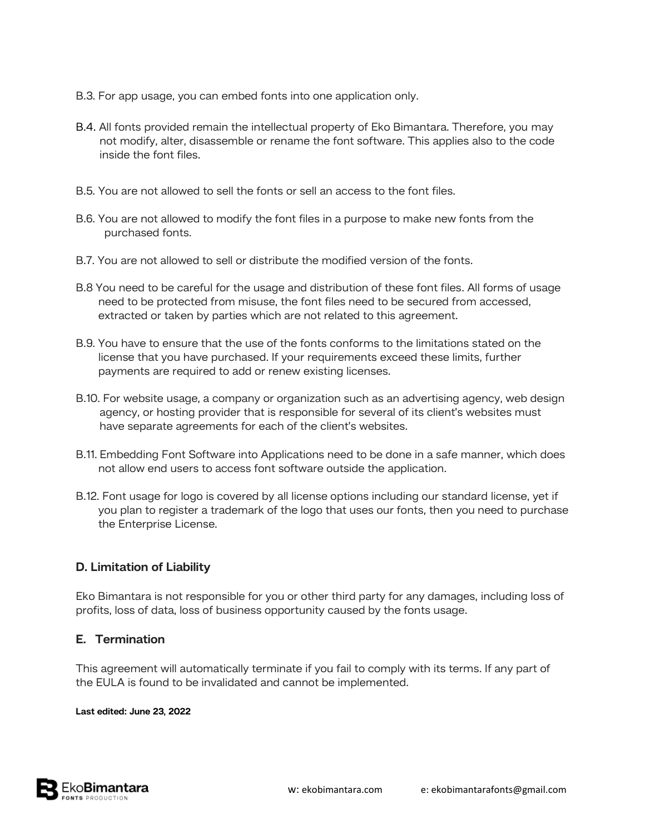- B.3. For app usage, you can embed fonts into one application only.
- B.4. All fonts provided remain the intellectual property of Eko Bimantara. Therefore, you may not modify, alter, disassemble or rename the font software. This applies also to the code inside the font files.
- B.5. You are not allowed to sell the fonts or sell an access to the font files.
- B.6. You are not allowed to modify the font files in a purpose to make new fonts from the purchased fonts.
- B.7. You are not allowed to sell or distribute the modified version of the fonts.
- B.8 You need to be careful for the usage and distribution of these font files. All forms of usage need to be protected from misuse, the font files need to be secured from accessed, extracted or taken by parties which are not related to this agreement.
- B.9. You have to ensure that the use of the fonts conforms to the limitations stated on the license that you have purchased. If your requirements exceed these limits, further payments are required to add or renew existing licenses.
- B.10. For website usage, a company or organization such as an advertising agency, web design agency, or hosting provider that is responsible for several of its client's websites must have separate agreements for each of the client's websites.
- B.11. Embedding Font Software into Applications need to be done in a safe manner, which does not allow end users to access font software outside the application.
- B.12. Font usage for logo is covered by all license options including our standard license, yet if you plan to register a trademark of the logo that uses our fonts, then you need to purchase the Enterprise License.

## **D. Limitation of Liability**

Eko Bimantara is not responsible for you or other third party for any damages, including loss of profits, loss of data, loss of business opportunity caused by the fonts usage.

#### **E. Termination**

This agreement will automatically terminate if you fail to comply with its terms. If any part of the EULA is found to be invalidated and cannot be implemented.

#### **Last edited: June 23, 2022**